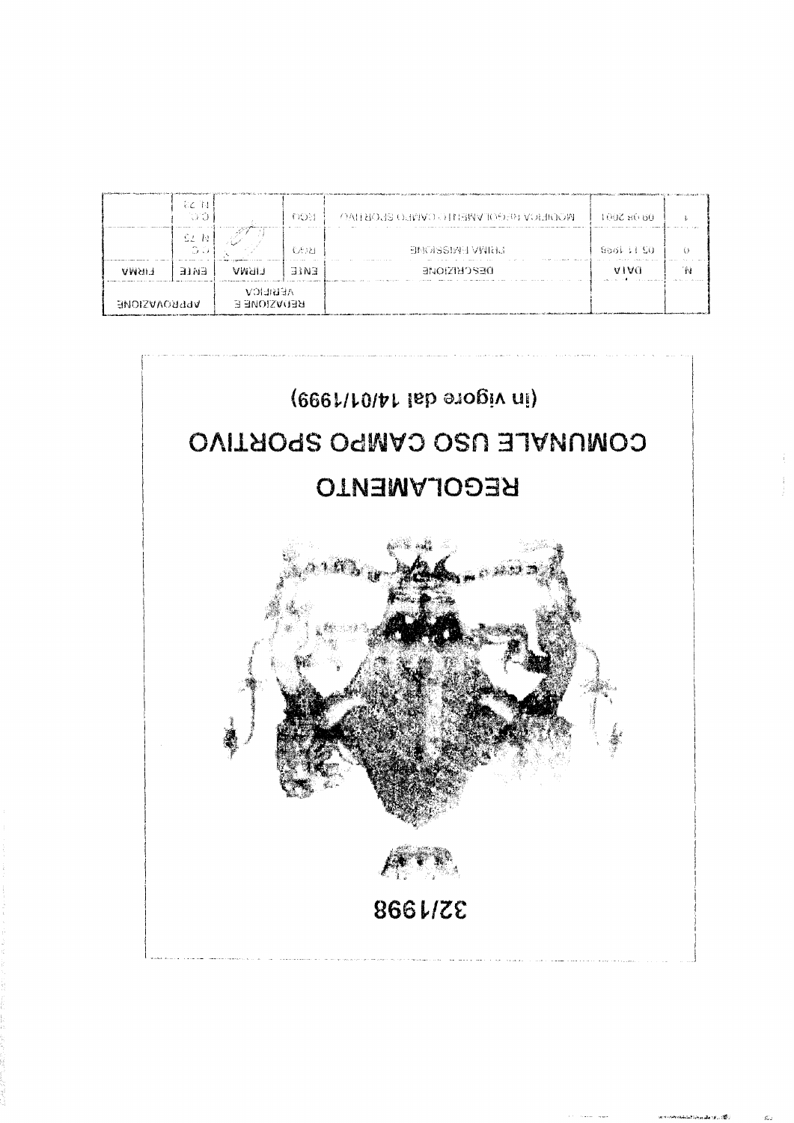

|                     | 32 14<br>ಾಂ                  |                                       | 008          | <b>MODIERO RECOPNEHI O DIVINO SEOBHOOM</b> | 10028660    |    |
|---------------------|------------------------------|---------------------------------------|--------------|--------------------------------------------|-------------|----|
|                     | -91 N<br>$\mathbb{O} \times$ |                                       | <b>CE121</b> | <b>BNOISSIME VWING</b>                     | Soot : L'SO |    |
| <b>EIRWA</b>        | EWLE                         | uman                                  | EWIE         | DEPCERDING                                 | <b>AIAC</b> | 'N |
| <b>APPROVACIONE</b> |                              | <b>AEBREICV</b><br><b>REDAZIONE E</b> |              |                                            |             |    |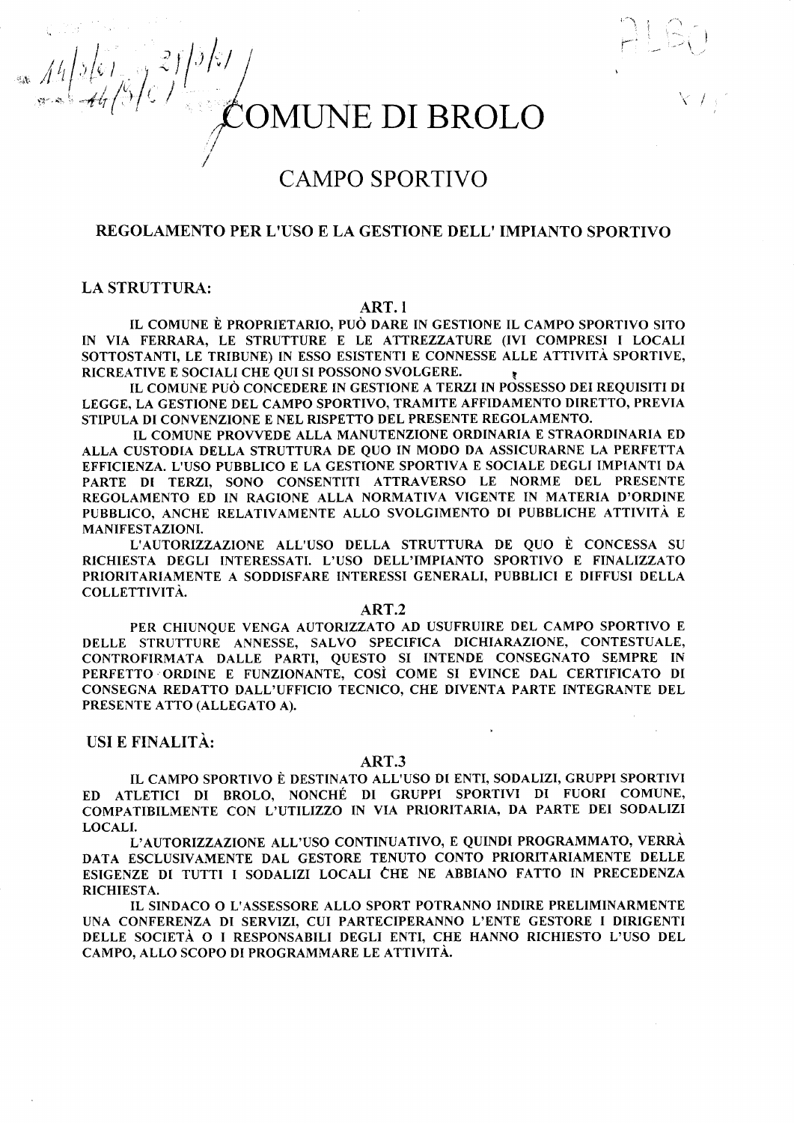$\frac{211}{3}$ 

# **CAMPO SPORTIVO**

# REGOLAMENTO PER L'USO E LA GESTIONE DELL'IMPIANTO SPORTIVO

# **LA STRUTTURA:**

 $= 14/261/37$ 

# ART.1

IL COMUNE È PROPRIETARIO, PUÒ DARE IN GESTIONE IL CAMPO SPORTIVO SITO IN VIA FERRARA, LE STRUTTURE E LE ATTREZZATURE (IVI COMPRESI I LOCALI SOTTOSTANTI, LE TRIBUNE) IN ESSO ESISTENTI E CONNESSE ALLE ATTIVITÀ SPORTIVE, RICREATIVE E SOCIALI CHE OUI SI POSSONO SVOLGERE.

IL COMUNE PUÒ CONCEDERE IN GESTIONE A TERZI IN POSSESSO DEI REOUISITI DI LEGGE, LA GESTIONE DEL CAMPO SPORTIVO, TRAMITE AFFIDAMENTO DIRETTO, PREVIA STIPULA DI CONVENZIONE E NEL RISPETTO DEL PRESENTE REGOLAMENTO.

IL COMUNE PROVVEDE ALLA MANUTENZIONE ORDINARIA E STRAORDINARIA ED ALLA CUSTODIA DELLA STRUTTURA DE QUO IN MODO DA ASSICURARNE LA PERFETTA EFFICIENZA. L'USO PUBBLICO E LA GESTIONE SPORTIVA E SOCIALE DEGLI IMPIANTI DA PARTE DI TERZI, SONO CONSENTITI ATTRAVERSO LE NORME DEL PRESENTE REGOLAMENTO ED IN RAGIONE ALLA NORMATIVA VIGENTE IN MATERIA D'ORDINE PUBBLICO, ANCHE RELATIVAMENTE ALLO SVOLGIMENTO DI PUBBLICHE ATTIVITÀ E **MANIFESTAZIONI.** 

L'AUTORIZZAZIONE ALL'USO DELLA STRUTTURA DE QUO È CONCESSA SU RICHIESTA DEGLI INTERESSATI. L'USO DELL'IMPIANTO SPORTIVO E FINALIZZATO PRIORITARIAMENTE A SODDISFARE INTERESSI GENERALI, PUBBLICI E DIFFUSI DELLA COLLETTIVITÀ.

### ART.2

PER CHIUNOUE VENGA AUTORIZZATO AD USUFRUIRE DEL CAMPO SPORTIVO E DELLE STRUTTURE ANNESSE, SALVO SPECIFICA DICHIARAZIONE, CONTESTUALE. CONTROFIRMATA DALLE PARTI, QUESTO SI INTENDE CONSEGNATO SEMPRE IN PERFETTO ORDINE E FUNZIONANTE, COSÌ COME SI EVINCE DAL CERTIFICATO DI CONSEGNA REDATTO DALL'UFFICIO TECNICO, CHE DIVENTA PARTE INTEGRANTE DEL PRESENTE ATTO (ALLEGATO A).

# USI E FINALITÀ:

#### ART.3

 $\mathbf{r}$ 

IL CAMPO SPORTIVO È DESTINATO ALL'USO DI ENTI, SODALIZI, GRUPPI SPORTIVI ATLETICI DI BROLO, NONCHÉ DI GRUPPI SPORTIVI DI FUORI COMUNE, ED. COMPATIBILMENTE CON L'UTILIZZO IN VIA PRIORITARIA, DA PARTE DEI SODALIZI LOCALI.

L'AUTORIZZAZIONE ALL'USO CONTINUATIVO, E QUINDI PROGRAMMATO, VERRÀ DATA ESCLUSIVAMENTE DAL GESTORE TENUTO CONTO PRIORITARIAMENTE DELLE ESIGENZE DI TUTTI I SODALIZI LOCALI CHE NE ABBIANO FATTO IN PRECEDENZA RICHIESTA.

IL SINDACO O L'ASSESSORE ALLO SPORT POTRANNO INDIRE PRELIMINARMENTE UNA CONFERENZA DI SERVIZI, CUI PARTECIPERANNO L'ENTE GESTORE I DIRIGENTI DELLE SOCIETÀ O I RESPONSABILI DEGLI ENTI, CHE HANNO RICHIESTO L'USO DEL CAMPO, ALLO SCOPO DI PROGRAMMARE LE ATTIVITÀ.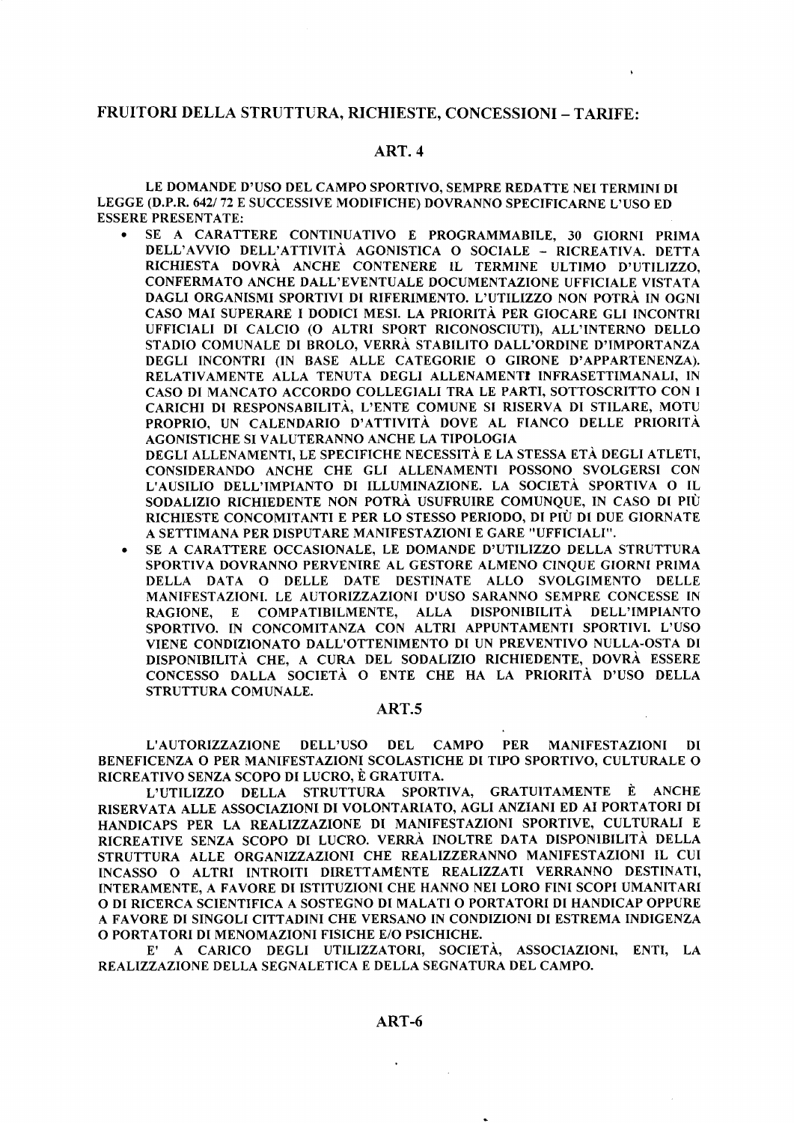# FRUITORI DELLA STRUTTURA, RICHIESTE, CONCESSIONI - TARIFE:

# ART. 4

LE DOMANDE D'USO DEL CAMPO SPORTIVO, SEMPRE REDATTE NEI TERMINT DI LEGGE (D.P.R. 642/72 E SUCCESSIVE MODIFICHE) DOVRANNO SPECIFICARNE L'USO ED ESSERE PRESENTATE:

r SE A CARATTERE CONTTNUATIVO E PROGRAMMABILE, 30 GIORNI PRIMA DELL'AWIO DELL'ATTIVITA AGONISTICA O SOCIALE - RICREATIVA. DETTA RICHIESTA DOVRÀ ANCHE CONTENERE IL TERMINE ULTIMO D'UTILIZZO. CONFERMATO ANCHE DALL'EVENTUALE DOCUMENTAZIONE UFFICIALE VISTATA DAGLI ORGANISMI SPORTIVI DI RIFERIMENTO. L'UTILIZZO NON POTRÀ IN OGNI CASO MAI SUPERARE I DODICI MESI. LA PRIORITA PER GIOCARE GLI INCONTRI UFFICIALI DI CALCIO (O ALTRI SPORT RICONOSCIUTI), ALL'INTERNO DELLO STADIO COMUNALB DI BROLO, VERRÀ STABILITO DALL'ORDINE D'IMPORTANZA DEGLI INCONTRI (IN BASE ALLE CATEGORIE O GIRONE D'APPARTENENZA). RELATIVAMENTE ALLA TENUTA DEGLI ALLENAMENTT INFRASETTIMANALI, IN CASO DI MANCATO ACCORDO COLLEGIALI TRA LE PARTI, SOTTOSCRITTO CON I CARICHI DI RESPONSABILITA, L'ENTE COMUNE SI RISERVA DI STILARE, MOTU PROPRIO, UN CALENDARIO D'ATTIVITÀ DOVE AL FIANCO DELLE PRIORITÀ AGONISTICHE SI VALUTERANNO ANCHE LA TIPOLOGIA DEGLI ALLENAMENTI, LE SPECIFICHE NECESSITA E LA STESSA ETA DEGLI ATLETI,

CONSTDERANDO ANCHE CHE GLI ALLENAMENTI POSSONO SVOLGERSI CON L'AUSILIO DELL'IMPIANTO DI ILLUMINAZIONE. LA SOCIETA SPORTIVA O IL SODALIZIO RICHIEDENTE NON POTRA USUFRUIRE COMUNQUE, IN CASO DI PTÙ RICHIESTE CONCOMITANTI E PER LO STESSO PERIODO, DI PIU DI DUE GIORNATE A SETTIMANA PER DISPUTARE MANIFESTAZIONI E GARE ''UFFICIALI''.

o SE A CARATTERE OCCASIONALE. LE DOMANDE D'UTILIZZO DELLA STRUTTURA SPORTIVA DOVRANNO PERVENIRE AL GESTORE ALMENO CINQUE GIORNI PRIMA DELLA DATA O DELLE DATE DESTINATE ALLO SVOLGIMENTO DELLE MANIFESTAZIONI. LE AUTORIZZAZIONI D'USO SARANNO SEMPRE CONCESSE IN RAGIONE, E COMPATIBILMENTE, ALLA DISPONIBILITÀ DELL'TMPIANTO SPORTIVO. IN CONCOMITANZA CON ALTRI APPUNTAMENTI SPORTIVI. L'USO VIENE CONDIZIONATO DALL'OTTENIMENTO DI UN PREVENTIVO NULLA-OSTA DI DISPONIBILITÀ CHE, A CURA DEL SODALIZIO RICHIEDENTE, DOVRÀ ESSERE CONCESSO DALLA SOCIETA O ENTE CHE HA LA PRIORITA D'USO DELLA STRUTTURA COMUNALE.

# ART.5

L'AUTORIZZAZTONE DELL'USO DEL CAMPO PER MANIFESTAZIONI DI BENEFICENZA O PER MANIFESTAZIONI SCOLASTICHE DI TIPO SPORTIVO. CULTURALE O RICREATIVO SENZA SCOPO DI LUCRO, È GRATUITA.

L'UTILIZZO DELLA STRUTTURA SPORTIVA, GRATUITAMENTE È ANCHE RISERVATA ALLE ASSOCIAZIONI DI VOLONTARIATO, AGLI ANZIANI ED AI PORTATORI DI HANDICAPS PER LA REALIZZAZIONE DI MANIFESTAZIONI SPORTIVE, CULTURALI <sup>E</sup> RICREATTVE SENZA SCOPO DI LUCRO. VERRA INOLTRE DATA DISPONIBILITA DELLA STRUTTURA ALLE ORGANIZZAZIONI CHE REALIZZERANNO MANIFESTAZIONI IL CUI INCASSO O ALTRI INTROITI DIRETTAMENTE REALIZZATI VERRANNO DESTINATI, INTERAMENTE, A FAVORE DI ISTITUZIONI CHE HANNO NEI LORO FINI SCOPI UMANITARI O DI RICERCA SCIENTIFICA A SOSTEGNO DI MALATI O PORTATORI DI HANDICAP OPPURE A FAVORE DI SINGOLI CITTADINI CHE VERSANO IN CONDIZIONI DI ESTREMA INDIGENZA O PORTATORI DI MENOMAZIONI FISICHE E/O PSICHICHE.

E' A CARICO DEGLI UTILIZZATORI, SOCIETA, ASSOCIAZIONI, ENTI, LA REALIZZAZIONE DELLA SEGNALETICA E DELLA SEGNATURA DEL CAMPO.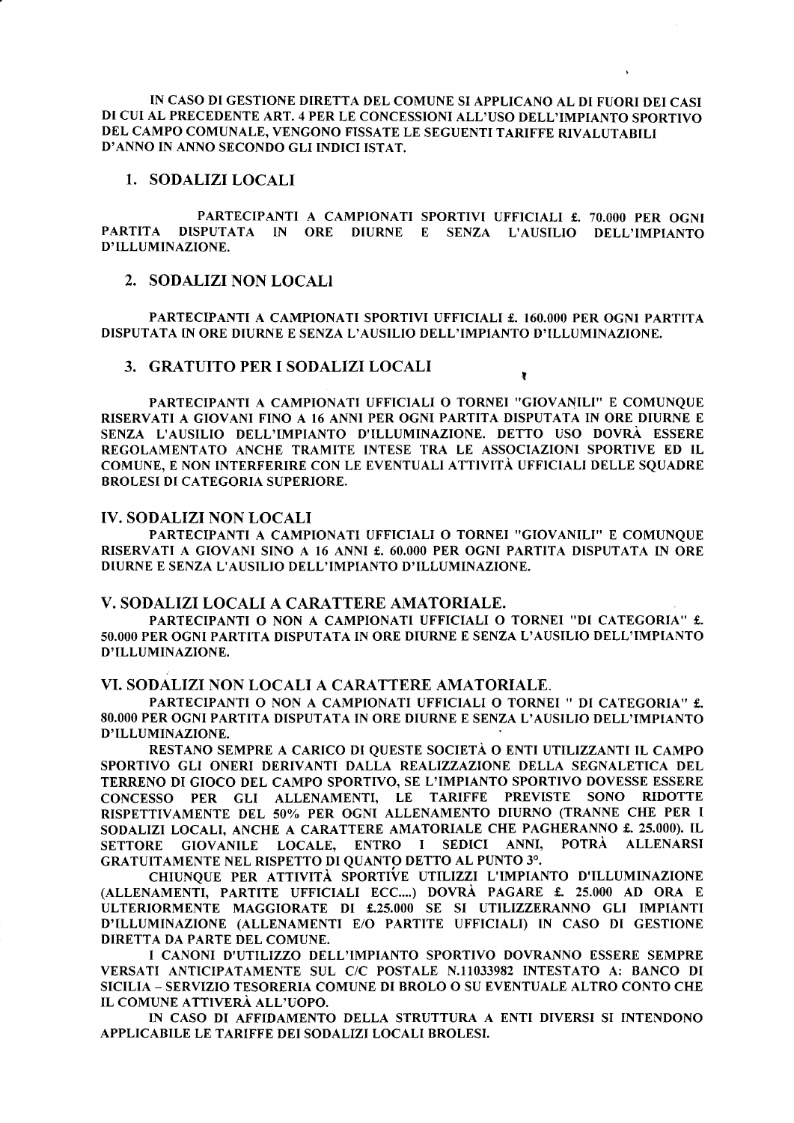IN CASO DI GESTIONE DIRETTA DEL COMUNE SI APPLICANO AL DI FUORI DEI CASI DI CUI AL PRECEDENTE ART.4 PER LE CONCESSIONI ALL'USO DELL'IMPIANTO SPORTIVO DEL CAMPO COMUNALE, VENGONO FISSATE LE SEGUENTI TARIFFE RIVALUTABILI D'ANNO IN ANNO SECONDO GLI INDICI ISTAT.

## 1. SODALIZI LOCALI

PARTECIPANTI A CAMPIONATI SPORTIVI UFFICIALI £. 70.000 PER OGNI PARTITA DISPUTATA IN ORE DIURNE E SENZA L'AUSILIO DELL'IMPIANTO D'ILLUMINAZIONE.

# 2. SODALIZI NON LOCALI

PARTECIPANTI A CAMPIONATI SPORTIVI UFFICIALI £. 160.000 PER OGNI PARTITA DISPUTATA IN ORE DIURNE E SENZA L'AUSILIO DELL'IMPIANTO D'ILLUMINAZIONE.

,

### 3. GRATUITO PER I SODALIZI LOCALI

PARTECIPANTI A CAMPIONATI UFFICIALI O TORNEI "GIOVANILI" E COMUNQUE RISERVATI A GIOVANI FINO A 16 ANNI PER OGNI PARTITA DISPUTATA IN ORE DIURNE <sup>E</sup> SENZA L'AUSILIO DELL'IMPIANTO D'ILLUMINAZIONE. DETTO USO DOVRA ESSERE REGOLAMENTATO ANCHE TRAMITE INTESE TRA LE ASSOCIAZIONI SPORTIVE ED TL COMUNE, E NON INTERFERIRE CON LE EVENTUALI ATTIVITA UFFICIALI DELLE SQUADRE BROLESI DI CATEGORIA SUPERIORE.

# IV. SODALIZI NON LOCALI

PARTECIPANTI A CAMPIONATI UFFICIALI O TORNEI ''GIOVANILI'' E COMUNQUE RISERVATI A GIOVANI SINO A 16 ANNI f. 60.000 PER OGNT PARTITA DISPUTATA IN ORE DIURNE E SENZA L'AUSILIO DELL'IMPIANTO D'ILLUMINAZIONE.

#### V. SODALIZI LOCALI A CARATTERE AMATORIALE.

PARTECIPANTI O NON A CAMPIONATI UFFICIALI O TORNEI ''DI CATEGORIA'' f. 50.000 PER OGNI PARTITA DISPUTATA IN ORE DIURNE E SENZA L'AUSILIO DELL'IMPIANTO D'ILLUMINAZIONE

#### VI. SODALIZI NON LOCALI A CARATTERE AMATORIALE.

PARTECIPANTI O NON A CAMPIONATI UFFICIALI O TORNEI " DI CATEGORIA" £. 8O.OOO PER OGNI PARTITA DISPUTATA IN ORE DIURNE E SENZA L'AUSILIO DELL'IMPIANTO D'ILLUMINAZIONE.

RESTANO SEMPRE A CARICO DI QUESTE SOCIETA O ENTI UTILIZZANTI IL CAMPO SPORTIVO GLI ONERI DERIVANTI DALLA REALIZZAZIONE DELLA SEGNALETICA DEL TERRENO DI GIOCO DEL CAMPO SPORTIVO, SE L'IMPIANTO SPORTIVO DOVESSE ESSERE CONCESSO PER GLI ALLENAMENTI, LE TARIFFE PREVISTE SONO RIDOTTE RISPETTIVAMENTE DEL 50% PER OGNI ALLENAMENTO DIURNO (TRANNE CHE PER I SODALIZI LOCALI, ANCHE A CARATTERE AMATORIALE CHE PAGHERANNO £. 25.000). IL<br>SETTORE GIOVANILE LOCALE, ENTRO I SEDICI ANNI, POTRÀ ALLENARSI SETTORE GIOVANILE LOCALE, ENTRO I SEDICI GRATUITAMENTE NEL RISPETTO DI QUANTO DETTO AL PUNTO 30.

CHIUNQUE PER ATTIVITA SPORTIVE UTILTZZI L'IMPIANTO D'ILLUMINAZIONE (ALLENAMENTT, PARTITE UFFTCTALI ECC....) DOVRA PAGARE f. 25.000 AD ORA <sup>E</sup> ULTERIORMENTE MAGGIORATE DI f.25.OOO SE SI UTILIZZERANNO GLI IMPIANTI D'ILLUMINAZIONE (ALLENAMENTI E/O PARTITE UFFICIALI) IN CASO DI GESTIONE DIRETTA DA PARTE DEL COMUNE.

I CANONI D'UTTLIZZO DELL'IMPIANTO SPORTIVO DOVRANNO ESSERE SEMPRE VERSATI ANTICIPATAMENTE SUL C/C POSTALE N.11033982 INTESTATO A: BANCO DI STCTLIA \_ SERVIZIO TESORERIA COMUNE DI BROLO O SU EVENTUALE ALTRO CONTO CHE IL COMUNE ATTIVERA ALL'UOPO.

IN CASO DI AFFIDAMENTO DELLA STRUTTURA A ENTI DIVERSI SI INTENDONO APPLICABILE LE TARIFFE DEI SODALIZI LOCALI BROLESI.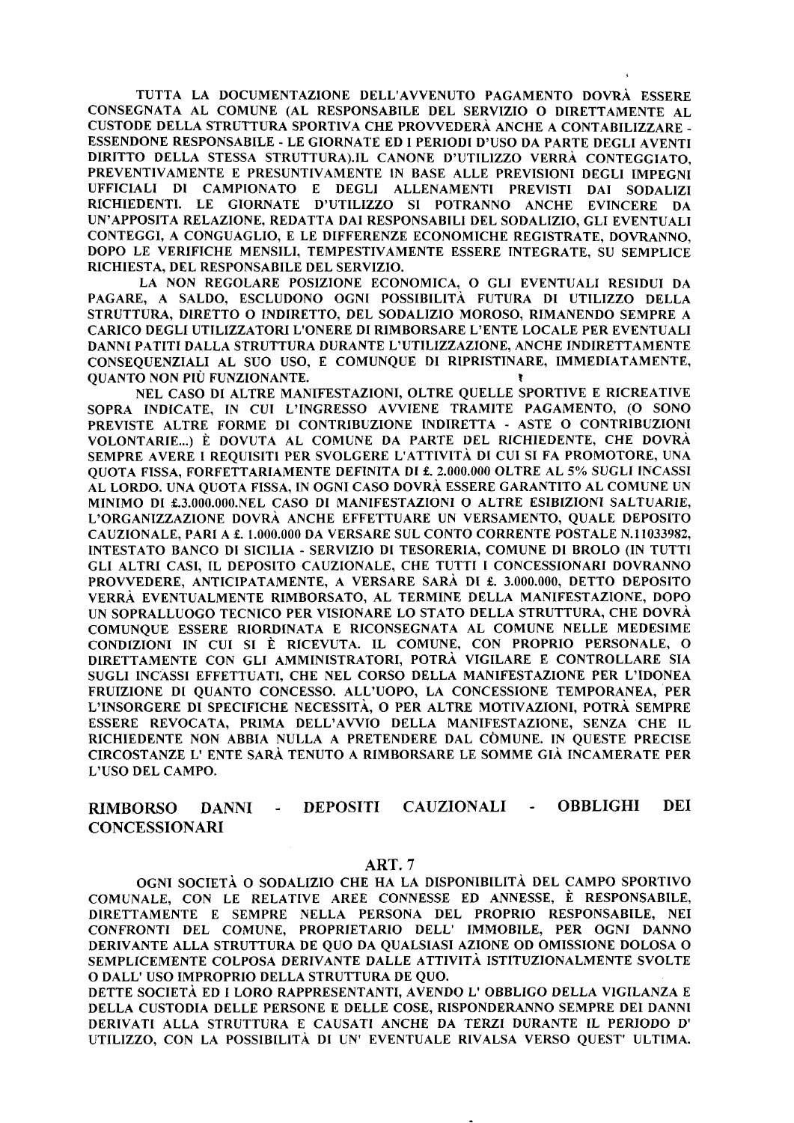TUTTA LA DOCUMENTAZIONE DELL'AWENUTO PAGAMENTO DOVRA ESSERE CONSEGNATA AL COMUNE (AL RESPONSABILE DEL SERVTZIO O DIRETTAMENTE AL CUSTODE DELLA STRUTTURA SPORTIVA CHE PROVVEDERA ANCHE A CONTABTLIZZARE - ESSENDONE RESPONSABILE - LE GIORNATE ED I PERIODI D'USO DA PARTE DEGLI AVENTI DIRITTO DELLA STESSA STRUTTURA).IL CANONE D'UTTLIZZO VERRA CONTEGGIATO, PREVENTIVAMENTE E PRESUNTIVAMENTE IN BASE ALLE PREVISIONI DEGLI IMPEGNI UFFICIALI DI CAMPIONATO E DEGLI ALLENAMBNTI PREVISTI DAI SODALIZI RICHIEDENTI. LE GIORNATE D'UTÍLIZZO SI POTRANNO ANCHE EVINCERE DA UN'APPOSITA RELAZIONE, REDATTA DAI RESPONSABILI DEL SODALIZIO, GLI EVENTUALI CONTEGGI, A CONGUAGLIO, E LE DIFFERENZE ECONOMICHE REGISTRATE, DOVRANNO, DOPO LE VERIFICHE MENSILI, TEMPESTIVAMENTE ESSERE INTEGRATE. SU SEMPLICE RICHIESTA, DEL RESPONSABILE DEL SERVIZIO.

LA NON REGOLARE POSIZIONE ECONOMICA, O GLI EVENTUALI RESIDUI DA PAGARE, A SALDO, ESCLUDONO OGNI POSSIBILITÀ FUTURA DI UTILIZZO DELLA STRUTTURA, DIRETTO O INDIRETTO, DEL SODALIZIO MOROSO, RIMANENDO SEMPRE A CARICO DEGLI UTILÍZZATORI L'ONERE DT RIMBORSARE L'ENTE LOCALE PER EVENTUALI DANNI PATITI DALLA STRUTTURA DURANTE L'VTILIZZAZIONE, ANCHE INDIRETTAMENTE CONSEQUENZIALI AL SUO USO, E COMUNQUE DI RIPRISTINARE, IMMEDIATAMENTE, QUANTO NON PIÙ FUNZIONANTE.

NEL CASO DI ALTRE MANIFESTAZIONI, OLTRE QUELLE SPORTIVE E RICREATIVE SOPRA INDICATE. IN CUI L'INGRESSO AVVIENE TRAMITE PAGAMENTO, (O SONO PREVISTE ALTRE FORME DI CONTRIBUZIONE INDIRETTA - ASTE O CONTRIBUZIONI VOLONTARIE...) È DOVUTA AL COMUNE DA PARTE DEL RICHIEDENTE, CHE DOVRA SEMPRE AVERE I REQUISITI PER SVOLGERE L'ATTIVITÀ DI CUI SI FA PROMOTORE, UNA QUOTA FISSA, FORFETTARIAMENTE DEFINITA DI £. 2.000.000 OLTRE AL 5% SUGLI INCASSI AL LORDO. UNA QUOTA FISSA,IN OGNI CASO DOVRA ESSERE GARANTITO AL COMUNE UN MINIMO DI f,.3.OOO.OOO.NEL CASO DI MANIFESTAZIONI O ALTRE ESIBIZIONI SALTUARIE, L'ORGANIZZAZIONE DOVRA ANCHE EFFETTUARE UN VERSAMENTO, QUALE DEPOSITO CAUZIONALE, PARI A £. 1.000.000 DA VERSARE SUL CONTO CORRENTE POSTALE N.11033982, INTESTATO BANCO DI SICILIA - SERVIZIO DI TESORERIA, COMUNE DI BROLO (IN TUTTI GLI ALTRI CASI, TL DEPOSITO CAUZIONALE, CHE TUTTI I CONCESSIONARI DOVRANNO PROVVEDERE, ANTICIPATAMENTE, A VERSARE SARÀ DI £. 3.000.000, DETTO DEPOSITO VERRÀ EVENTUALMENTE RIMBORSATO, AL TERMINE DELLA MANIFESTAZIONE, DOPO UN SOPRALLUOGO TECNICO PER VISIONARE LO STATO DELLA STRUTTURA, CHE DOVRÀ COMUNQUE ESSERE RIORDINATA E RICONSEGNATA AL COMUNE NELLE MEDESIME CONDIZIONI IN CUI SI È RICEVUTA. IL COMUNE, CON PROPRIO PERSONALE, <sup>O</sup> DIRETTAMENTE CON GLI AMMINISTRATORI, POTRÀ VIGILARE E CONTROLLARE SIA SUGLI INCASSI EFFETTUATI, CHE NEL CORSO DELLA MANIFESTAZIONE PER L'IDONEA FRUIZIONE DI QUANTO CONCESSO. ALL'UOPO, LA CONCESSIONE TEMPORANEA, PER L'INSORGERE DI SPECIFICHE NECESSITÀ, O PER ALTRE MOTIVAZIONI, POTRA SEMPRE ESSERE REVOCATA, PRIMA DELL'AWIO DELLA MANIFESTAZIONE, SENZA CHE IL RICHIEDENTE NON ABBIA NULLA A PRETENDERE DAL COMUNE. IN QUESTE PRECISE CIRCOSTANZE L' ENTE SARA TENUTO A RIMBORSARE LE SOMME GIA INCAMERATE PER L'USO DEL CAMPO.

#### RIMBORSO CONCESSIONARI DANNI - DEPOSITI CAUZIONALI - OBBLIGHI DEI

#### ART.7

OGNI SOCIETÀ O SODALIZIO CHE HA LA DISPONIBILITÀ DEL CAMPO SPORTIVO COMUNALE, CON LE RELATIVE AREE CONNESSE ED ANNESSE, È RESPONSABILE, DIRETTAMENTE E SEMPRE NELLA PERSONA DEL PROPRIO RESPONSABILE, NEI CONFRONTI DEL COMUNE, PROPRIETARIO DELL' IMMOBILE, PER OGNI DANNO DERIVANTE ALLA STRUTTURA DE QUO DA QUALSIASI AZIONE OD OMISSIONE DOLOSA <sup>O</sup> SEMPLICEMENTE COLPOSA DERIVANTE DALLE ATTIVITA ISTITUZIONALMENTE SVOLTE o DALL'USO IMPROPRTO DELLA STRUTTURA DE QUO.

DETTE SOCIETÀ ED I LORO RAPPRESENTANTI, AVENDO L'OBBLIGO DELLA VIGILANZA E DELLA CUSTODIA DELLE PERSONE E DELLE COSE, RISPONDERANNO SEMPRE DEI DANNI DERTVATI ALLA STRUTTURA E CAUSATI ANCHE DA TERZI DURANTE IL PERIODO D' UTILIZZO, CON LA POSSIBILITÀ DI UN' EVENTUALE RIVALSA VERSO QUEST' ULTIMA.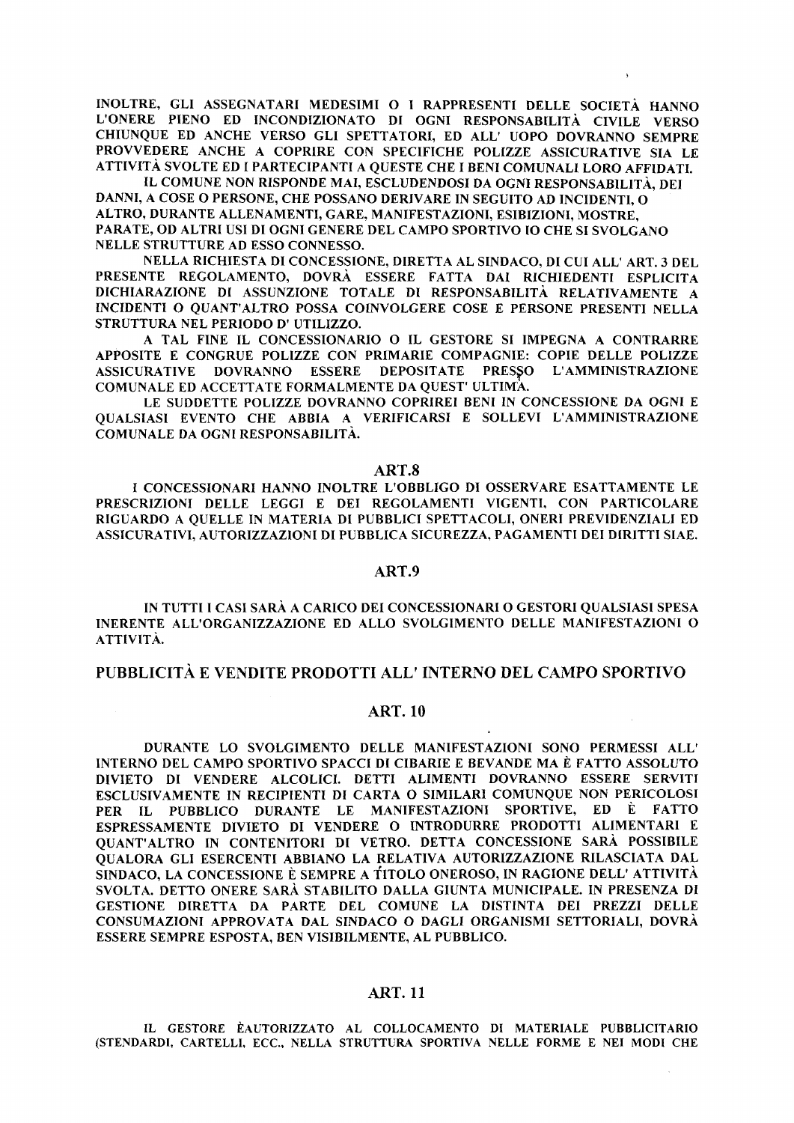INOLTRE, GLI ASSEGNATARI MEDESIMI O I RAPPRESENTI DELLE SOCIETÀ HANNO L'ONERE PIENO ED INCONDIZIONATO DI OGNI RESPONSABILITÀ CIVILE VERSO CHIUNQUE ED ANCHE VERSO GLI SPETTATORI, ED ALL' UOPO DOVRANNO SEMPRE PROVVEDERE ANCHE A COPRIRE CON SPECIFICHE POLIZZE ASSICURATIVE SIA LE ATTIVITÀ SVOLTE ED I PARTECIPANTI A QUESTE CHE I BENI COMUNALI LORO AFFIDATI.

IL COMUNE NON RISPONDE MAI, ESCLUDENDOSI DA OGNI RESPONSABILITÀ, DEI DANNI, A COSE O PERSONE, CHE POSSANO DERIVARE IN SEGUITO AD INCIDENTI. O ALTRO, DURANTE ALLENAMENTI, GARE, MANIFESTAZIONI, ESIBIZIONI, MOSTRE, PARATE, OD ALTRI USI DI OGNI GENERE DEL CAMPO SPORTIVO IO CHE SI SVOLGANO NELLE STRUTTURE AD ESSO CONNESSO.

NELLA RICHIESTA DI CONCESSIONE, DIRETTA AL SINDACO, DI CUI ALL'ART. 3 DEL PRESENTE REGOLAMENTO, DOVRÀ ESSERE FATTA DAI RICHIEDENTI ESPLICITA DICHIARAZIONE DI ASSUNZIONE TOTALE DI RESPONSABILITÀ RELATIVAMENTE A INCIDENTI O QUANT'ALTRO POSSA COINVOLGERE COSE E PERSONE PRESENTI NELLA STRUTTURA NEL PERIODO D' UTILIZZO.

A TAL FINE IL CONCESSIONARIO O IL GESTORE SI IMPEGNA A CONTRARRE APPOSITE E CONGRUE POLIZZE CON PRIMARIE COMPAGNIE: COPIE DELLE POLIZZE ASSICURATIVE DOVRANNO ESSERE DEPOSITATE PRESSO L'AMMINISTRAZIONE COMUNALE ED ACCETTATE FORMALMENTE DA QUEST' ULTIMA.

LE SUDDETTE POLIZZE DOVRANNO COPRIREI BENI IN CONCESSIONE DA OGNI E OUALSIASI EVENTO CHE ABBIA A VERIFICARSI E SOLLEVI L'AMMINISTRAZIONE COMUNALE DA OGNI RESPONSABILITÀ.

#### ART.8

I CONCESSIONARI HANNO INOLTRE L'OBBLIGO DI OSSERVARE ESATTAMENTE LE PRESCRIZIONI DELLE LEGGI E DEI REGOLAMENTI VIGENTI, CON PARTICOLARE RIGUARDO A QUELLE IN MATERIA DI PUBBLICI SPETTACOLI, ONERI PREVIDENZIALI ED ASSICURATIVI, AUTORIZZAZIONI DI PUBBLICA SICUREZZA, PAGAMENTI DEI DIRITTI SIAE.

## ART.9

IN TUTTI I CASI SARÀ A CARICO DEI CONCESSIONARI O GESTORI QUALSIASI SPESA INERENTE ALL'ORGANIZZAZIONE ED ALLO SVOLGIMENTO DELLE MANIFESTAZIONI O ATTIVITÀ.

### **PUBBLICITÀ E VENDITE PRODOTTI ALL'INTERNO DEL CAMPO SPORTIVO**

# **ART. 10**

DURANTE LO SVOLGIMENTO DELLE MANIFESTAZIONI SONO PERMESSI ALL' INTERNO DEL CAMPO SPORTIVO SPACCI DI CIBARIE E BEVANDE MA È FATTO ASSOLUTO DIVIETO DI VENDERE ALCOLICI. DETTI ALIMENTI DOVRANNO ESSERE SERVITI ESCLUSIVAMENTE IN RECIPIENTI DI CARTA O SIMILARI COMUNQUE NON PERICOLOSI PER IL PUBBLICO DURANTE LE MANIFESTAZIONI SPORTIVE, ED È FATTO ESPRESSAMENTE DIVIETO DI VENDERE O INTRODURRE PRODOTTI ALIMENTARI E OUANT'ALTRO IN CONTENITORI DI VETRO. DETTA CONCESSIONE SARÀ POSSIBILE QUALORA GLI ESERCENTI ABBIANO LA RELATIVA AUTORIZZAZIONE RILASCIATA DAL SINDACO, LA CONCESSIONE È SEMPRE A TITOLO ONEROSO, IN RAGIONE DELL'ATTIVITÀ SVOLTA. DETTO ONERE SARÀ STABILITO DALLA GIUNTA MUNICIPALE. IN PRESENZA DI GESTIONE DIRETTA DA PARTE DEL COMUNE LA DISTINTA DEI PREZZI DELLE CONSUMAZIONI APPROVATA DAL SINDACO O DAGLI ORGANISMI SETTORIALI, DOVRÀ ESSERE SEMPRE ESPOSTA, BEN VISIBILMENTE, AL PUBBLICO.

# **ART. 11**

IL GESTORE ÈAUTORIZZATO AL COLLOCAMENTO DI MATERIALE PUBBLICITARIO (STENDARDI, CARTELLI, ECC., NELLA STRUTTURA SPORTIVA NELLE FORME E NEI MODI CHE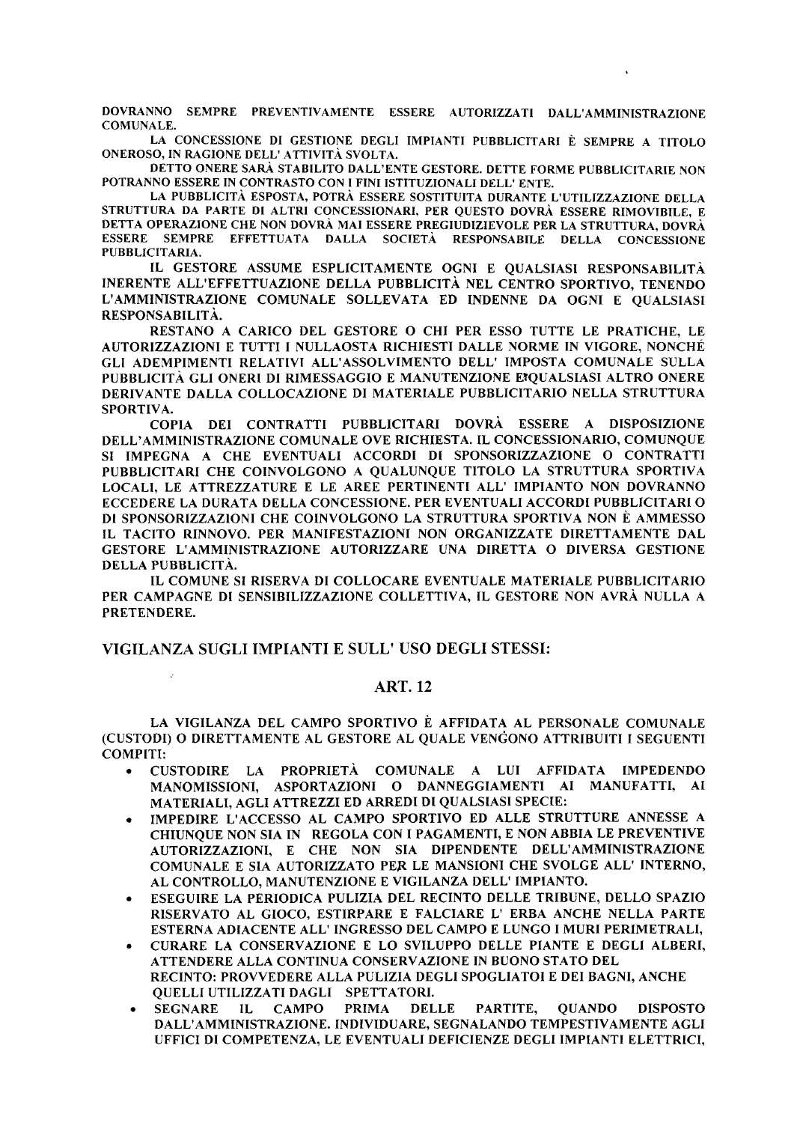DOVRANNO SEMPRE PREVENTIVAMENTE ESSERE AUTORIZZATI DALL'AMMINISTRAZIONE **COMUNALE.** 

LA CONCESSIONE DI GESTIONE DEGLI IMPIANTI PUBBLICITARI È SEMPRE A TITOLO ONEROSO, IN RAGIONE DELL' ATTIVITÀ SVOLTA.

DETTO ONERE SARÀ STABILITO DALL'ENTE GESTORE. DETTE FORME PUBBLICITARIE NON POTRANNO ESSERE IN CONTRASTO CON I FINI ISTITUZIONALI DELL' ENTE.

LA PUBBLICITÀ ESPOSTA, POTRÀ ESSERE SOSTITUITA DURANTE L'UTILIZZAZIONE DELLA STRUTTURA DA PARTE DI ALTRI CONCESSIONARI, PER QUESTO DOVRÀ ESSERE RIMOVIBILE, E DETTA OPERAZIONE CHE NON DOVRÀ MAI ESSERE PREGIUDIZIEVOLE PER LA STRUTTURA, DOVRÀ ESSERE SEMPRE EFFETTUATA DALLA SOCIETÀ RESPONSABILE DELLA CONCESSIONE PUBBLICITARIA.

IL GESTORE ASSUME ESPLICITAMENTE OGNI E QUALSIASI RESPONSABILITÀ INERENTE ALL'EFFETTUAZIONE DELLA PUBBLICITÀ NEL CENTRO SPORTIVO, TENENDO L'AMMINISTRAZIONE COMUNALE SOLLEVATA ED INDENNE DA OGNI E QUALSIASI RESPONSABILITÀ.

RESTANO A CARICO DEL GESTORE O CHI PER ESSO TUTTE LE PRATICHE. LE AUTORIZZAZIONI E TUTTI I NULLAOSTA RICHIESTI DALLE NORME IN VIGORE, NONCHÉ GLI ADEMPIMENTI RELATIVI ALL'ASSOLVIMENTO DELL' IMPOSTA COMUNALE SULLA PUBBLICITÀ GLI ONERI DI RIMESSAGGIO E MANUTENZIONE EIQUALSIASI ALTRO ONERE DERIVANTE DALLA COLLOCAZIONE DI MATERIALE PUBBLICITARIO NELLA STRUTTURA SPORTIVA.

COPIA DEI CONTRATTI PUBBLICITARI DOVRÀ ESSERE A DISPOSIZIONE DELL'AMMINISTRAZIONE COMUNALE OVE RICHIESTA. IL CONCESSIONARIO, COMUNQUE SI IMPEGNA A CHE EVENTUALI ACCORDI DI SPONSORIZZAZIONE O CONTRATTI PUBBLICITARI CHE COINVOLGONO A QUALUNQUE TITOLO LA STRUTTURA SPORTIVA LOCALI, LE ATTREZZATURE E LE AREE PERTINENTI ALL' IMPIANTO NON DOVRANNO ECCEDERE LA DURATA DELLA CONCESSIONE. PER EVENTUALI ACCORDI PUBBLICITARI O DI SPONSORIZZAZIONI CHE COINVOLGONO LA STRUTTURA SPORTIVA NON È AMMESSO IL TACITO RINNOVO. PER MANIFESTAZIONI NON ORGANIZZATE DIRETTAMENTE DAL GESTORE L'AMMINISTRAZIONE AUTORIZZARE UNA DIRETTA O DIVERSA GESTIONE DELLA PUBBLICITÀ.

IL COMUNE SI RISERVA DI COLLOCARE EVENTUALE MATERIALE PUBBLICITARIO PER CAMPAGNE DI SENSIBILIZZAZIONE COLLETTIVA, IL GESTORE NON AVRÀ NULLA A PRETENDERE.

# VIGILANZA SUGLI IMPIANTI E SULL' USO DEGLI STESSI:

# **ART. 12**

LA VIGILANZA DEL CAMPO SPORTIVO È AFFIDATA AL PERSONALE COMUNALE (CUSTODI) O DIRETTAMENTE AL GESTORE AL QUALE VENGONO ATTRIBUITI I SEGUENTI **COMPITI:** 

- CUSTODIRE LA PROPRIETÀ COMUNALE A LUI AFFIDATA IMPEDENDO MANOMISSIONI, ASPORTAZIONI O DANNEGGIAMENTI AI MANUFATTI, AI MATERIALI, AGLI ATTREZZI ED ARREDI DI QUALSIASI SPECIE:
- IMPEDIRE L'ACCESSO AL CAMPO SPORTIVO ED ALLE STRUTTURE ANNESSE A CHIUNQUE NON SIA IN REGOLA CON I PAGAMENTI, E NON ABBIA LE PREVENTIVE AUTORIZZAZIONI, E CHE NON SIA DIPENDENTE DELL'AMMINISTRAZIONE COMUNALE E SIA AUTORIZZATO PER LE MANSIONI CHE SVOLGE ALL' INTERNO, AL CONTROLLO, MANUTENZIONE E VIGILANZA DELL' IMPIANTO.
- ESEGUIRE LA PERIODICA PULIZIA DEL RECINTO DELLE TRIBUNE, DELLO SPAZIO RISERVATO AL GIOCO, ESTIRPARE E FALCIARE L' ERBA ANCHE NELLA PARTE ESTERNA ADIACENTE ALL'INGRESSO DEL CAMPO E LUNGO I MURI PERIMETRALI.
- CURARE LA CONSERVAZIONE E LO SVILUPPO DELLE PIANTE E DEGLI ALBERI. ATTENDERE ALLA CONTINUA CONSERVAZIONE IN BUONO STATO DEL RECINTO: PROVVEDERE ALLA PULIZIA DEGLI SPOGLIATOI E DEI BAGNI, ANCHE **OUELLI UTILIZZATI DAGLI SPETTATORI.**
- **CAMPO PRIMA DELLE** PARTITE, **OUANDO DISPOSTO SEGNARE**  $\Pi$ . DALL'AMMINISTRAZIONE. INDIVIDUARE, SEGNALANDO TEMPESTIVAMENTE AGLI UFFICI DI COMPETENZA, LE EVENTUALI DEFICIENZE DEGLI IMPIANTI ELETTRICI,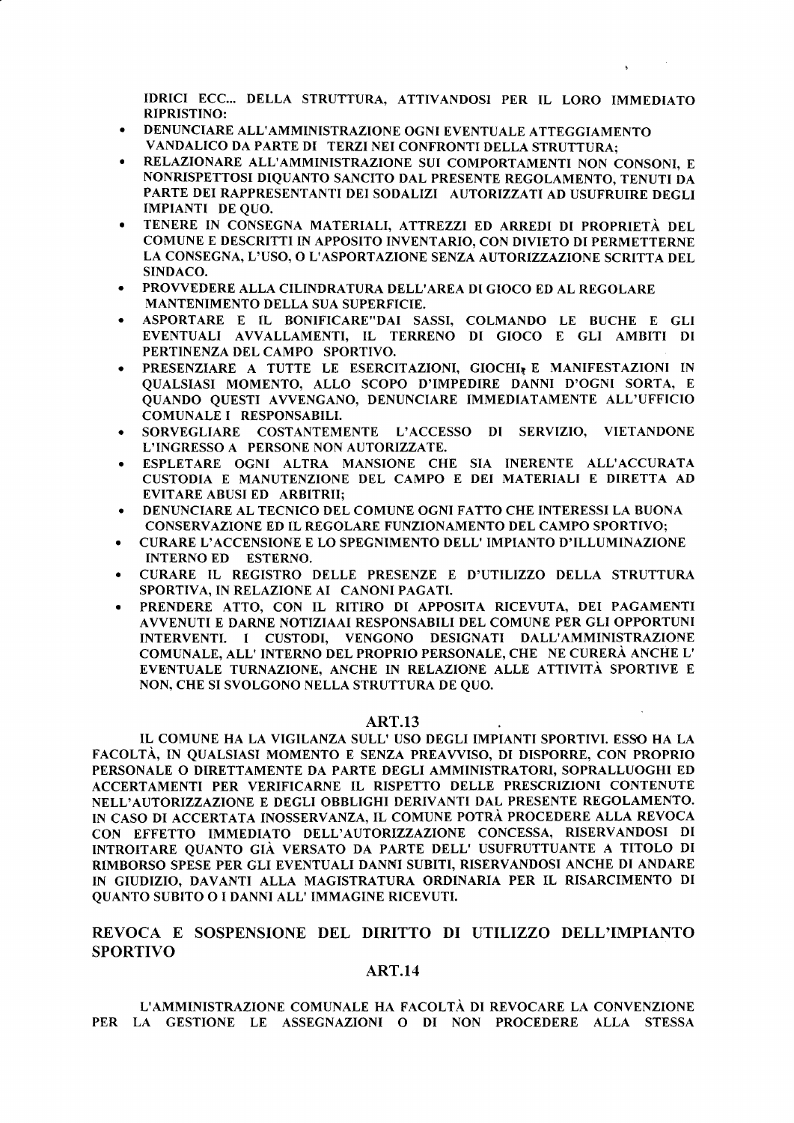IDRICI ECC... DELLA STRUTTURA, ATTIVANDOSI PER IL LORO IMMEDIATO **RIPRISTINO:** 

- DENUNCIARE ALL'AMMINISTRAZIONE OGNI EVENTUALE ATTEGGIAMENTO VANDALICO DA PARTE DI TERZI NEI CONFRONTI DELLA STRUTTURA:
- RELAZIONARE ALL'AMMINISTRAZIONE SUI COMPORTAMENTI NON CONSONI, E NONRISPETTOSI DIQUANTO SANCITO DAL PRESENTE REGOLAMENTO, TENUTI DA PARTE DEI RAPPRESENTANTI DEI SODALIZI AUTORIZZATI AD USUFRUIRE DEGLI **IMPIANTI DE QUO.**
- TENERE IN CONSEGNA MATERIALI, ATTREZZI ED ARREDI DI PROPRIETÀ DEL COMUNE E DESCRITTI IN APPOSITO INVENTARIO, CON DIVIETO DI PERMETTERNE LA CONSEGNA, L'USO, O L'ASPORTAZIONE SENZA AUTORIZZAZIONE SCRITTA DEL SINDACO.
- PROVVEDERE ALLA CILINDRATURA DELL'AREA DI GIOCO ED AL REGOLARE **MANTENIMENTO DELLA SUA SUPERFICIE.**
- ASPORTARE E IL BONIFICARE"DAI SASSI, COLMANDO LE BUCHE E GLI EVENTUALI AVVALLAMENTI, IL TERRENO DI GIOCO E GLI AMBITI DI PERTINENZA DEL CAMPO SPORTIVO.
- PRESENZIARE A TUTTE LE ESERCITAZIONI, GIOCHI, E MANIFESTAZIONI IN QUALSIASI MOMENTO, ALLO SCOPO D'IMPEDIRE DANNI D'OGNI SORTA, E OUANDO OUESTI AVVENGANO, DENUNCIARE IMMEDIATAMENTE ALL'UFFICIO COMUNALE I RESPONSABILI.
- SORVEGLIARE COSTANTEMENTE L'ACCESSO DI SERVIZIO, VIETANDONE L'INGRESSO A PERSONE NON AUTORIZZATE.
- ESPLETARE OGNI ALTRA MANSIONE CHE SIA INERENTE ALL'ACCURATA CUSTODIA E MANUTENZIONE DEL CAMPO E DEI MATERIALI E DIRETTA AD **EVITARE ABUSI ED ARBITRII:**
- DENUNCIARE AL TECNICO DEL COMUNE OGNI FATTO CHE INTERESSI LA BUONA CONSERVAZIONE ED IL REGOLARE FUNZIONAMENTO DEL CAMPO SPORTIVO;
- CURARE L'ACCENSIONE E LO SPEGNIMENTO DELL' IMPIANTO D'ILLUMINAZIONE  $\bullet$ INTERNO ED ESTERNO.
- CURARE IL REGISTRO DELLE PRESENZE E D'UTILIZZO DELLA STRUTTURA SPORTIVA, IN RELAZIONE AI CANONI PAGATI.
- PRENDERE ATTO, CON IL RITIRO DI APPOSITA RICEVUTA, DEI PAGAMENTI AVVENUTI E DARNE NOTIZIAAI RESPONSABILI DEL COMUNE PER GLI OPPORTUNI INTERVENTI. I CUSTODI, VENGONO DESIGNATI DALL'AMMINISTRAZIONE COMUNALE, ALL' INTERNO DEL PROPRIO PERSONALE, CHE NE CURERÀ ANCHE L' EVENTUALE TURNAZIONE, ANCHE IN RELAZIONE ALLE ATTIVITÀ SPORTIVE E NON, CHE SI SVOLGONO NELLA STRUTTURA DE QUO.

### **ART.13**

IL COMUNE HA LA VIGILANZA SULL' USO DEGLI IMPIANTI SPORTIVI. ESSO HA LA FACOLTÀ, IN QUALSIASI MOMENTO E SENZA PREAVVISO, DI DISPORRE, CON PROPRIO PERSONALE O DIRETTAMENTE DA PARTE DEGLI AMMINISTRATORI, SOPRALLUOGHI ED ACCERTAMENTI PER VERIFICARNE IL RISPETTO DELLE PRESCRIZIONI CONTENUTE NELL'AUTORIZZAZIONE E DEGLI OBBLIGHI DERIVANTI DAL PRESENTE REGOLAMENTO. IN CASO DI ACCERTATA INOSSERVANZA, IL COMUNE POTRÀ PROCEDERE ALLA REVOCA CON EFFETTO IMMEDIATO DELL'AUTORIZZAZIONE CONCESSA, RISERVANDOSI DI INTROITARE QUANTO GIÀ VERSATO DA PARTE DELL' USUFRUTTUANTE A TITOLO DI RIMBORSO SPESE PER GLI EVENTUALI DANNI SUBITI, RISERVANDOSI ANCHE DI ANDARE IN GIUDIZIO, DAVANTI ALLA MAGISTRATURA ORDINARIA PER IL RISARCIMENTO DI QUANTO SUBITO O I DANNI ALL' IMMAGINE RICEVUTI.

# REVOCA E SOSPENSIONE DEL DIRITTO DI UTILIZZO DELL'IMPIANTO **SPORTIVO**

# **ART.14**

L'AMMINISTRAZIONE COMUNALE HA FACOLTÀ DI REVOCARE LA CONVENZIONE PER LA GESTIONE LE ASSEGNAZIONI O DI NON PROCEDERE ALLA STESSA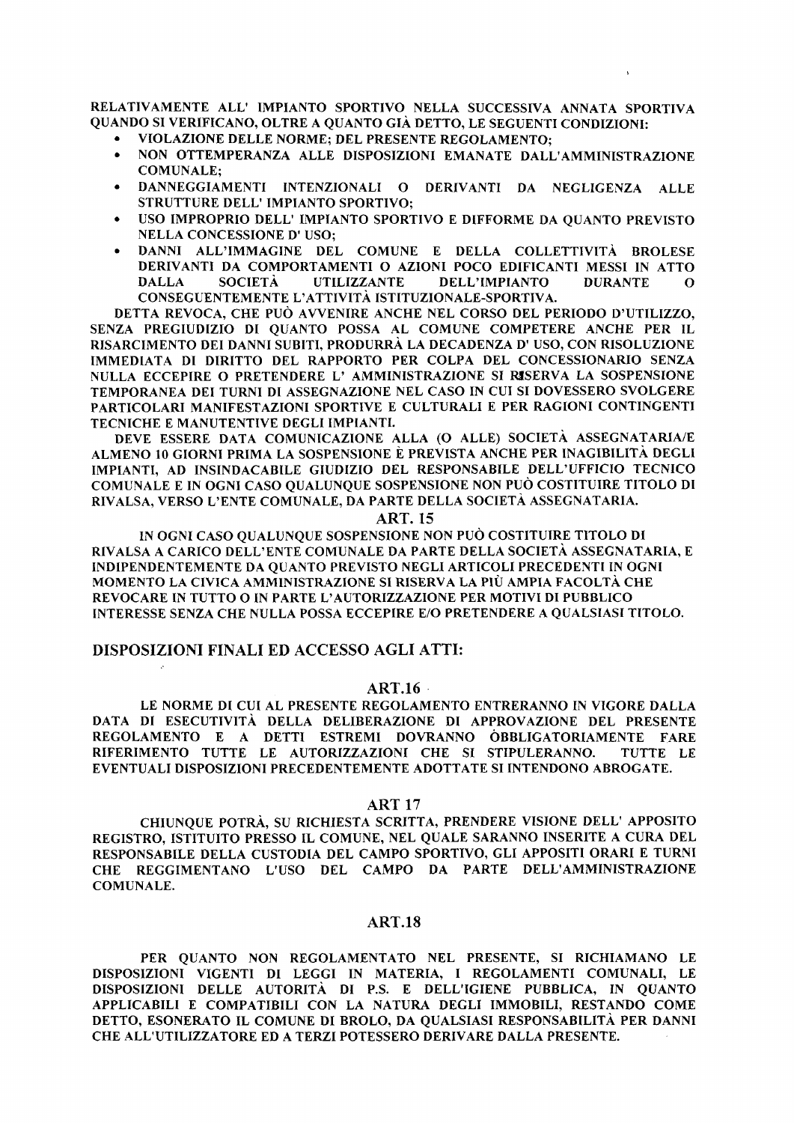RELATIVAMENTE ALL' IMPIANTO SPORTIVO NELLA SUCCESSIVA ANNATA SPORTIVA QUANDO SI VERIFICANO, OLTRE A QUANTO GIÀ DETTO, LE SEGUENTI CONDIZIONI:

- VIOLAZIONE DELLE NORME; DEL PRESENTE REGOLAMENTO;
- NON OTTEMPERANZA ALLE DISPOSIZIONI EMANATE DALL'AMMINISTRAZIONE **COMUNALE:**
- DANNEGGIAMENTI INTENZIONALI O DERIVANTI DA NEGLIGENZA ALLE  $\bullet$ STRUTTURE DELL' IMPIANTO SPORTIVO:
- USO IMPROPRIO DELL' IMPIANTO SPORTIVO E DIFFORME DA QUANTO PREVISTO **NELLA CONCESSIONE D' USO:**
- DANNI ALL'IMMAGINE DEL COMUNE E DELLA COLLETTIVITÀ BROLESE DERIVANTI DA COMPORTAMENTI O AZIONI POCO EDIFICANTI MESSI IN ATTO **UTILIZZANTE DALLA SOCIETÀ** DELL'IMPIANTO **DURANTE**  $\Omega$ CONSEGUENTEMENTE L'ATTIVITÀ ISTITUZIONALE-SPORTIVA.

DETTA REVOCA, CHE PUÒ AVVENIRE ANCHE NEL CORSO DEL PERIODO D'UTILIZZO, SENZA PREGIUDIZIO DI QUANTO POSSA AL COMUNE COMPETERE ANCHE PER IL RISARCIMENTO DEI DANNI SUBITI, PRODURRÀ LA DECADENZA D' USO, CON RISOLUZIONE IMMEDIATA DI DIRITTO DEL RAPPORTO PER COLPA DEL CONCESSIONARIO SENZA NULLA ECCEPIRE O PRETENDERE L' AMMINISTRAZIONE SI RISERVA LA SOSPENSIONE TEMPORANEA DEI TURNI DI ASSEGNAZIONE NEL CASO IN CUI SI DOVESSERO SVOLGERE PARTICOLARI MANIFESTAZIONI SPORTIVE E CULTURALI E PER RAGIONI CONTINGENTI TECNICHE E MANUTENTIVE DEGLI IMPIANTI.

DEVE ESSERE DATA COMUNICAZIONE ALLA (O ALLE) SOCIETÀ ASSEGNATARIA/E ALMENO 10 GIORNI PRIMA LA SOSPENSIONE È PREVISTA ANCHE PER INAGIBILITÀ DEGLI IMPIANTI, AD INSINDACABILE GIUDIZIO DEL RESPONSABILE DELL'UFFICIO TECNICO COMUNALE E IN OGNI CASO QUALUNQUE SOSPENSIONE NON PUÒ COSTITUIRE TITOLO DI RIVALSA, VERSO L'ENTE COMUNALE, DA PARTE DELLA SOCIETÀ ASSEGNATARIA.

**ART. 15** 

IN OGNI CASO OUALUNOUE SOSPENSIONE NON PUÒ COSTITUIRE TITOLO DI RIVALSA A CARICO DELL'ENTE COMUNALE DA PARTE DELLA SOCIETÀ ASSEGNATARIA. E INDIPENDENTEMENTE DA QUANTO PREVISTO NEGLI ARTICOLI PRECEDENTI IN OGNI MOMENTO LA CIVICA AMMINISTRAZIONE SI RISERVA LA PIÙ AMPIA FACOLTÀ CHE REVOCARE IN TUTTO O IN PARTE L'AUTORIZZAZIONE PER MOTIVI DI PUBBLICO INTERESSE SENZA CHE NULLA POSSA ECCEPIRE E/O PRETENDERE A QUALSIASI TITOLO.

# DISPOSIZIONI FINALI ED ACCESSO AGLI ATTI:

# **ART.16**

LE NORME DI CUI AL PRESENTE REGOLAMENTO ENTRERANNO IN VIGORE DALLA DATA DI ESECUTIVITÀ DELLA DELIBERAZIONE DI APPROVAZIONE DEL PRESENTE REGOLAMENTO E A DETTI ESTREMI DOVRANNO OBBLIGATORIAMENTE FARE RIFERIMENTO TUTTE LE AUTORIZZAZIONI CHE SI STIPULERANNO. TUTTE LE EVENTUALI DISPOSIZIONI PRECEDENTEMENTE ADOTTATE SI INTENDONO ABROGATE.

### **ART 17**

CHIUNQUE POTRÀ, SU RICHIESTA SCRITTA, PRENDERE VISIONE DELL' APPOSITO REGISTRO, ISTITUITO PRESSO IL COMUNE, NEL QUALE SARANNO INSERITE A CURA DEL RESPONSABILE DELLA CUSTODIA DEL CAMPO SPORTIVO, GLI APPOSITI ORARI E TURNI CHE REGGIMENTANO L'USO DEL CAMPO DA PARTE DELL'AMMINISTRAZIONE **COMUNALE.** 

### **ART.18**

PER QUANTO NON REGOLAMENTATO NEL PRESENTE, SI RICHIAMANO LE DISPOSIZIONI VIGENTI DI LEGGI IN MATERIA, I REGOLAMENTI COMUNALI, LE DISPOSIZIONI DELLE AUTORITÀ DI P.S. E DELL'IGIENE PUBBLICA, IN QUANTO APPLICABILI E COMPATIBILI CON LA NATURA DEGLI IMMOBILI, RESTANDO COME DETTO, ESONERATO IL COMUNE DI BROLO, DA QUALSIASI RESPONSABILITÀ PER DANNI CHE ALL'UTILIZZATORE ED A TERZI POTESSERO DERIVARE DALLA PRESENTE.